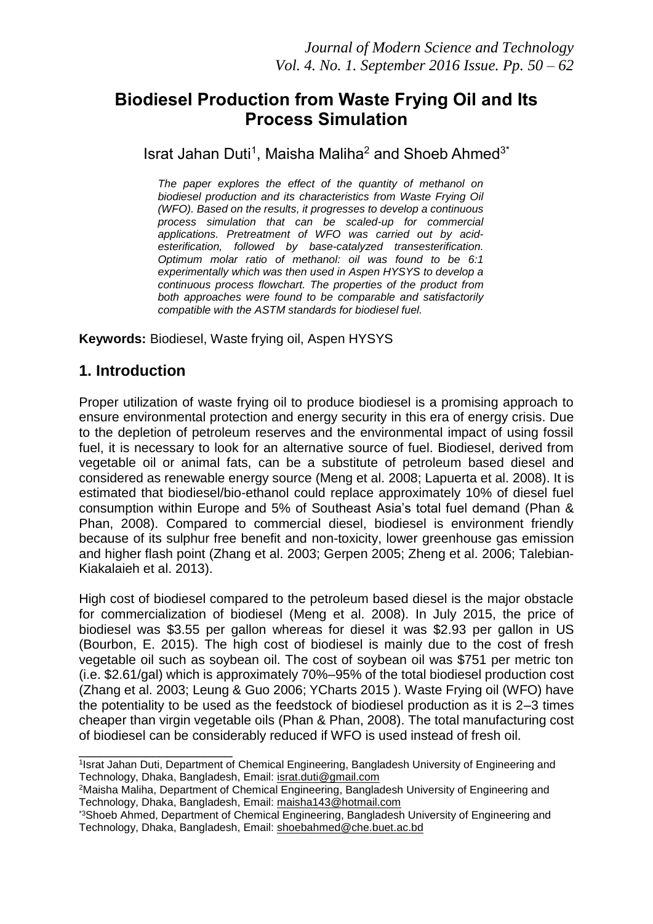## **Biodiesel Production from Waste Frying Oil and Its Process Simulation**

Israt Jahan Duti<sup>1</sup>, Maisha Maliha<sup>2</sup> and Shoeb Ahmed<sup>3\*</sup>

*The paper explores the effect of the quantity of methanol on biodiesel production and its characteristics from Waste Frying Oil (WFO). Based on the results, it progresses to develop a continuous process simulation that can be scaled-up for commercial applications. Pretreatment of WFO was carried out by acidesterification, followed by base-catalyzed transesterification. Optimum molar ratio of methanol: oil was found to be 6:1 experimentally which was then used in Aspen HYSYS to develop a continuous process flowchart. The properties of the product from both approaches were found to be comparable and satisfactorily compatible with the ASTM standards for biodiesel fuel.*

**Keywords:** Biodiesel, Waste frying oil, Aspen HYSYS

## **1. Introduction**

\_\_\_\_\_\_\_\_\_\_\_\_\_\_\_\_\_\_\_\_\_

Proper utilization of waste frying oil to produce biodiesel is a promising approach to ensure environmental protection and energy security in this era of energy crisis. Due to the depletion of petroleum reserves and the environmental impact of using fossil fuel, it is necessary to look for an alternative source of fuel. Biodiesel, derived from vegetable oil or animal fats, can be a substitute of petroleum based diesel and considered as renewable energy source (Meng et al. 2008; Lapuerta et al. 2008). It is estimated that biodiesel/bio-ethanol could replace approximately 10% of diesel fuel consumption within Europe and 5% of Southeast Asia's total fuel demand (Phan & Phan, 2008). Compared to commercial diesel, biodiesel is environment friendly because of its sulphur free benefit and non-toxicity, lower greenhouse gas emission and higher flash point (Zhang et al. 2003; Gerpen 2005; Zheng et al. 2006; Talebian-Kiakalaieh et al. 2013).

High cost of biodiesel compared to the petroleum based diesel is the major obstacle for commercialization of biodiesel (Meng et al. 2008). In July 2015, the price of biodiesel was \$3.55 per gallon whereas for diesel it was \$2.93 per gallon in US (Bourbon, E. 2015). The high cost of biodiesel is mainly due to the cost of fresh vegetable oil such as soybean oil. The cost of soybean oil was \$751 per metric ton (i.e. \$2.61/gal) which is approximately 70%–95% of the total biodiesel production cost (Zhang et al. 2003; Leung & Guo 2006; YCharts 2015 ). Waste Frying oil (WFO) have the potentiality to be used as the feedstock of biodiesel production as it is 2–3 times cheaper than virgin vegetable oils (Phan & Phan, 2008). The total manufacturing cost of biodiesel can be considerably reduced if WFO is used instead of fresh oil.

<sup>1</sup> Israt Jahan Duti, Department of Chemical Engineering, Bangladesh University of Engineering and Technology, Dhaka, Bangladesh, Email: [israt.duti@gmail.com](mailto:israt.duti@gmail.com)

<sup>2</sup>Maisha Maliha, Department of Chemical Engineering, Bangladesh University of Engineering and Technology, Dhaka, Bangladesh, Email: [maisha143@hotmail.com](mailto:maisha143@hotmail.com)

<sup>\*3</sup>Shoeb Ahmed, Department of Chemical Engineering, Bangladesh University of Engineering and Technology, Dhaka, Bangladesh, Email: [shoebahmed@che.buet.ac.bd](mailto:shoebahmed@che.buet.ac.bd)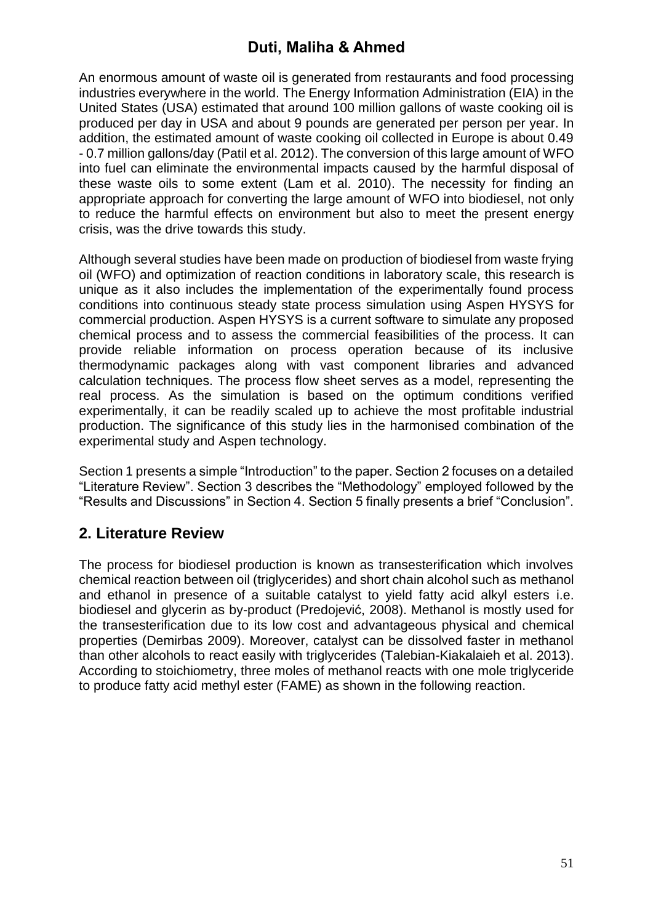An enormous amount of waste oil is generated from restaurants and food processing industries everywhere in the world. The Energy Information Administration (EIA) in the United States (USA) estimated that around 100 million gallons of waste cooking oil is produced per day in USA and about 9 pounds are generated per person per year. In addition, the estimated amount of waste cooking oil collected in Europe is about 0.49 - 0.7 million gallons/day (Patil et al. 2012). The conversion of this large amount of WFO into fuel can eliminate the environmental impacts caused by the harmful disposal of these waste oils to some extent (Lam et al. 2010). The necessity for finding an appropriate approach for converting the large amount of WFO into biodiesel, not only to reduce the harmful effects on environment but also to meet the present energy crisis, was the drive towards this study.

Although several studies have been made on production of biodiesel from waste frying oil (WFO) and optimization of reaction conditions in laboratory scale, this research is unique as it also includes the implementation of the experimentally found process conditions into continuous steady state process simulation using Aspen HYSYS for commercial production. Aspen HYSYS is a current software to simulate any proposed chemical process and to assess the commercial feasibilities of the process. It can provide reliable information on process operation because of its inclusive thermodynamic packages along with vast component libraries and advanced calculation techniques. The process flow sheet serves as a model, representing the real process. As the simulation is based on the optimum conditions verified experimentally, it can be readily scaled up to achieve the most profitable industrial production. The significance of this study lies in the harmonised combination of the experimental study and Aspen technology.

Section 1 presents a simple "Introduction" to the paper. Section 2 focuses on a detailed "Literature Review". Section 3 describes the "Methodology" employed followed by the "Results and Discussions" in Section 4. Section 5 finally presents a brief "Conclusion".

### **2. Literature Review**

The process for biodiesel production is known as transesterification which involves chemical reaction between oil (triglycerides) and short chain alcohol such as methanol and ethanol in presence of a suitable catalyst to yield fatty acid alkyl esters i.e. biodiesel and glycerin as by-product (Predojević, 2008). Methanol is mostly used for the transesterification due to its low cost and advantageous physical and chemical properties (Demirbas 2009). Moreover, catalyst can be dissolved faster in methanol than other alcohols to react easily with triglycerides (Talebian-Kiakalaieh et al. 2013). According to stoichiometry, three moles of methanol reacts with one mole triglyceride to produce fatty acid methyl ester (FAME) as shown in the following reaction.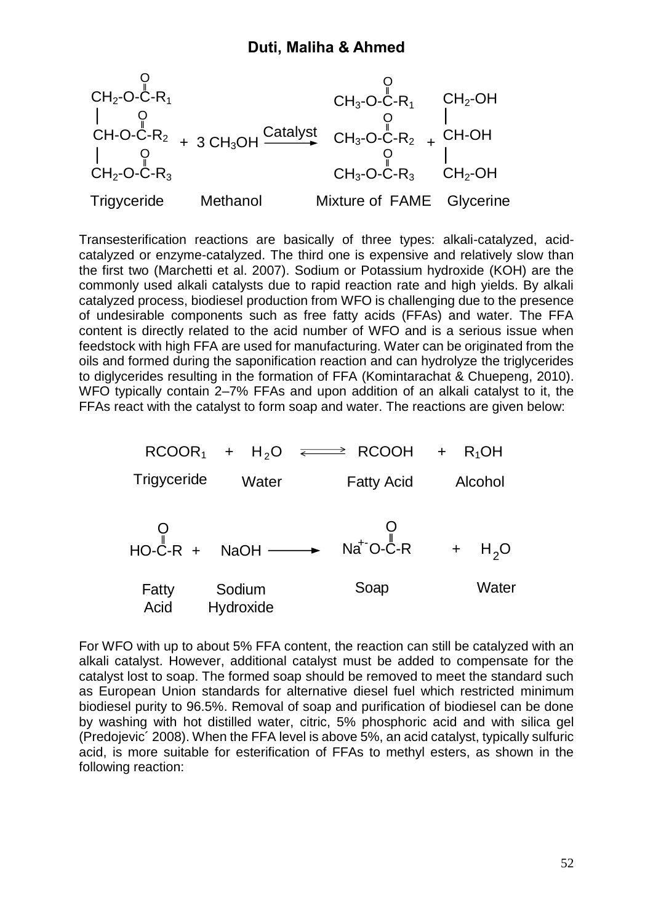

Transesterification reactions are basically of three types: alkali-catalyzed, acidcatalyzed or enzyme-catalyzed. The third one is expensive and relatively slow than the first two (Marchetti et al. 2007). Sodium or Potassium hydroxide (KOH) are the commonly used alkali catalysts due to rapid reaction rate and high yields. By alkali catalyzed process, biodiesel production from WFO is challenging due to the presence of undesirable components such as free fatty acids (FFAs) and water. The FFA content is directly related to the acid number of WFO and is a serious issue when feedstock with high FFA are used for manufacturing. Water can be originated from the oils and formed during the saponification reaction and can hydrolyze the triglycerides to diglycerides resulting in the formation of FFA (Komintarachat & Chuepeng, 2010). WFO typically contain 2–7% FFAs and upon addition of an alkali catalyst to it, the FFAs react with the catalyst to form soap and water. The reactions are given below:



For WFO with up to about 5% FFA content, the reaction can still be catalyzed with an alkali catalyst. However, additional catalyst must be added to compensate for the catalyst lost to soap. The formed soap should be removed to meet the standard such as European Union standards for alternative diesel fuel which restricted minimum biodiesel purity to 96.5%. Removal of soap and purification of biodiesel can be done by washing with hot distilled water, citric, 5% phosphoric acid and with silica gel (Predojevic´ 2008). When the FFA level is above 5%, an acid catalyst, typically sulfuric acid, is more suitable for esterification of FFAs to methyl esters, as shown in the following reaction: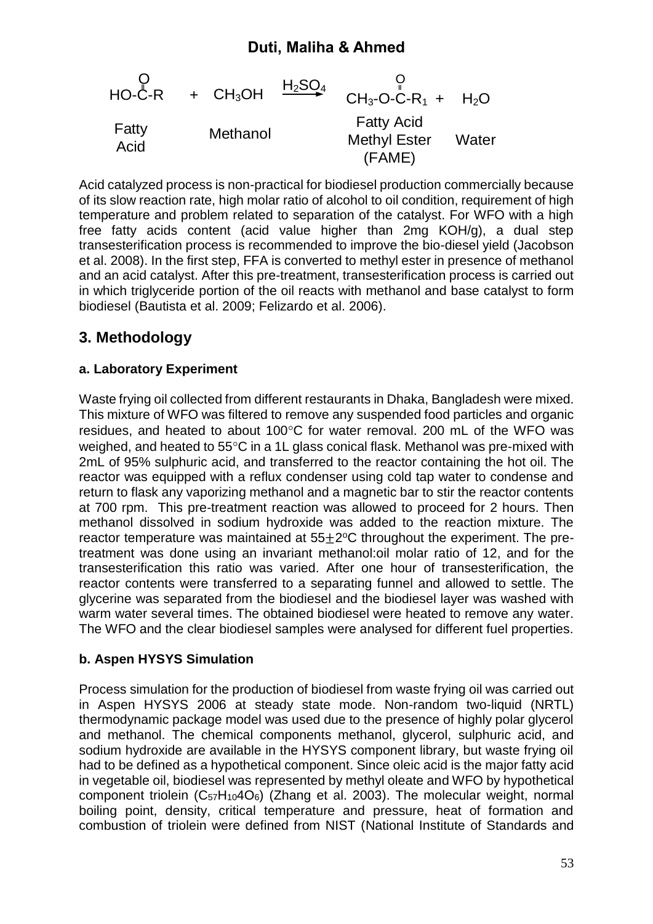

Acid catalyzed process is non-practical for biodiesel production commercially because of its slow reaction rate, high molar ratio of alcohol to oil condition, requirement of high temperature and problem related to separation of the catalyst. For WFO with a high free fatty acids content (acid value higher than 2mg KOH/g), a dual step transesterification process is recommended to improve the bio-diesel yield (Jacobson et al. 2008). In the first step, FFA is converted to methyl ester in presence of methanol and an acid catalyst. After this pre-treatment, transesterification process is carried out in which triglyceride portion of the oil reacts with methanol and base catalyst to form biodiesel (Bautista et al. 2009; Felizardo et al. 2006).

### **3. Methodology**

#### **a. Laboratory Experiment**

CH<sub>3</sub>-O-C-R<sub>1</sub> + H<sub>2</sub>O<br>
Felty Acid Fatty Acid Fatty Acid Fatty Acid Fatty Acid Fatty Acid Fatty Acid (FAME)<br>
(FAME)<br>
(FAME)<br>
(FAME)<br>
is non-practical for biodiesial production commercially because<br>
is non-practical for bi Waste frying oil collected from different restaurants in Dhaka, Bangladesh were mixed. This mixture of WFO was filtered to remove any suspended food particles and organic residues, and heated to about 100°C for water removal. 200 mL of the WFO was weighed, and heated to  $55^{\circ}$ C in a 1L glass conical flask. Methanol was pre-mixed with 2mL of 95% sulphuric acid, and transferred to the reactor containing the hot oil. The reactor was equipped with a reflux condenser using cold tap water to condense and return to flask any vaporizing methanol and a magnetic bar to stir the reactor contents at 700 rpm. This pre-treatment reaction was allowed to proceed for 2 hours. Then methanol dissolved in sodium hydroxide was added to the reaction mixture. The reactor temperature was maintained at  $55\pm2$  °C throughout the experiment. The pretreatment was done using an invariant methanol:oil molar ratio of 12, and for the transesterification this ratio was varied. After one hour of transesterification, the reactor contents were transferred to a separating funnel and allowed to settle. The glycerine was separated from the biodiesel and the biodiesel layer was washed with warm water several times. The obtained biodiesel were heated to remove any water. The WFO and the clear biodiesel samples were analysed for different fuel properties.

#### **b. Aspen HYSYS Simulation**

Process simulation for the production of biodiesel from waste frying oil was carried out in Aspen HYSYS 2006 at steady state mode. Non-random two-liquid (NRTL) thermodynamic package model was used due to the presence of highly polar glycerol and methanol. The chemical components methanol, glycerol, sulphuric acid, and sodium hydroxide are available in the HYSYS component library, but waste frying oil had to be defined as a hypothetical component. Since oleic acid is the major fatty acid in vegetable oil, biodiesel was represented by methyl oleate and WFO by hypothetical component triolein (C57H104O6) (Zhang et al. 2003). The molecular weight, normal boiling point, density, critical temperature and pressure, heat of formation and combustion of triolein were defined from NIST (National Institute of Standards and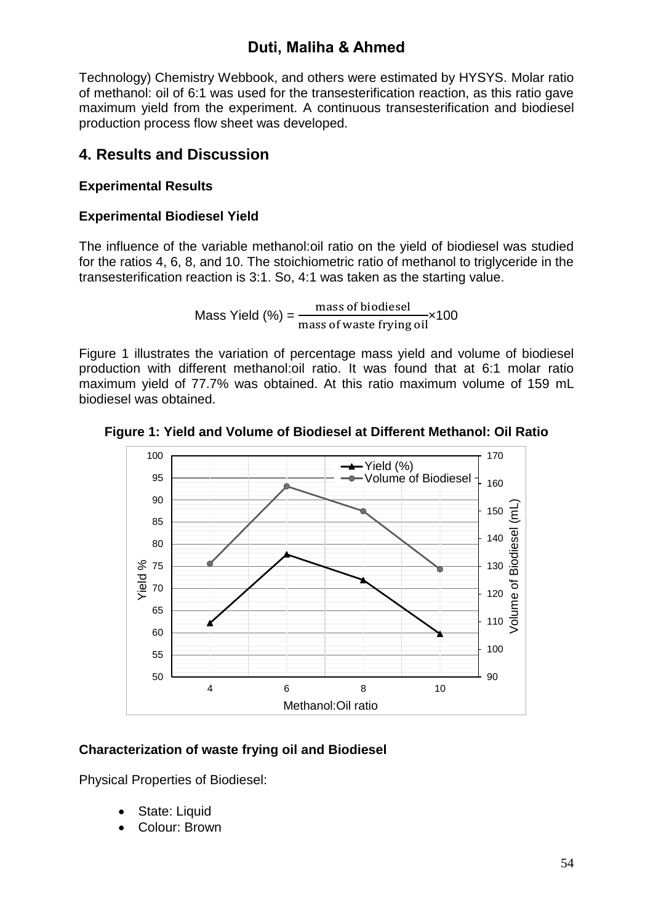Technology) Chemistry Webbook, and others were estimated by HYSYS. Molar ratio of methanol: oil of 6:1 was used for the transesterification reaction, as this ratio gave maximum yield from the experiment. A continuous transesterification and biodiesel production process flow sheet was developed.

### **4. Results and Discussion**

#### **Experimental Results**

#### **Experimental Biodiesel Yield**

The influence of the variable methanol:oil ratio on the yield of biodiesel was studied for the ratios 4, 6, 8, and 10. The stoichiometric ratio of methanol to triglyceride in the transesterification reaction is 3:1. So, 4:1 was taken as the starting value.

Mass Yield  $% = \frac{mass of biological}{mass of waste frying oil}$ ×100

Figure 1 illustrates the variation of percentage mass yield and volume of biodiesel production with different methanol:oil ratio. It was found that at 6:1 molar ratio maximum yield of 77.7% was obtained. At this ratio maximum volume of 159 mL biodiesel was obtained.



#### **Figure 1: Yield and Volume of Biodiesel at Different Methanol: Oil Ratio**

#### **Characterization of waste frying oil and Biodiesel**

Physical Properties of Biodiesel:

- State: Liquid
- Colour: Brown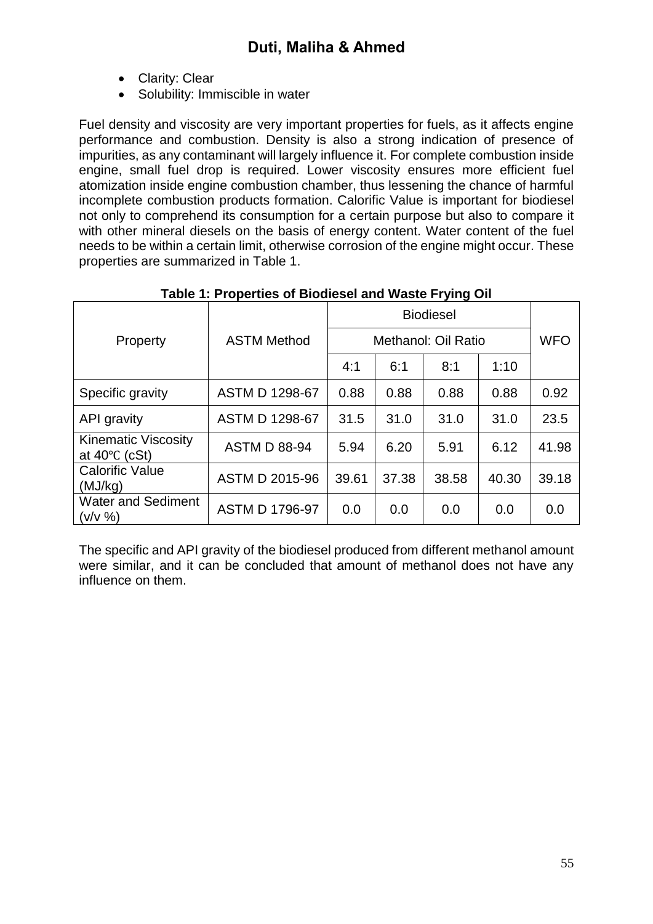- Clarity: Clear
- Solubility: Immiscible in water

Fuel density and viscosity are very important properties for fuels, as it affects engine performance and combustion. Density is also a strong indication of presence of impurities, as any contaminant will largely influence it. For complete combustion inside engine, small fuel drop is required. Lower viscosity ensures more efficient fuel atomization inside engine combustion chamber, thus lessening the chance of harmful incomplete combustion products formation. Calorific Value is important for biodiesel not only to comprehend its consumption for a certain purpose but also to compare it with other mineral diesels on the basis of energy content. Water content of the fuel needs to be within a certain limit, otherwise corrosion of the engine might occur. These properties are summarized in Table 1.

| Property                                              | <b>ASTM Method</b>    | Methanol: Oil Ratio | <b>WFO</b> |       |       |       |
|-------------------------------------------------------|-----------------------|---------------------|------------|-------|-------|-------|
|                                                       |                       | 4:1                 | 6:1        | 8:1   | 1:10  |       |
| Specific gravity                                      | <b>ASTM D 1298-67</b> | 0.88                | 0.88       | 0.88  | 0.88  | 0.92  |
| API gravity                                           | <b>ASTM D 1298-67</b> | 31.5                | 31.0       | 31.0  | 31.0  | 23.5  |
| <b>Kinematic Viscosity</b><br>at $40^{\circ}$ C (cSt) | <b>ASTM D 88-94</b>   | 5.94                | 6.20       | 5.91  | 6.12  | 41.98 |
| <b>Calorific Value</b><br>(MJ/kg)                     | ASTM D 2015-96        | 39.61               | 37.38      | 38.58 | 40.30 | 39.18 |
| <b>Water and Sediment</b><br>(v/v %)                  | <b>ASTM D 1796-97</b> | 0.0                 | 0.0        | 0.0   | 0.0   | 0.0   |

#### **Table 1: Properties of Biodiesel and Waste Frying Oil**

The specific and API gravity of the biodiesel produced from different methanol amount were similar, and it can be concluded that amount of methanol does not have any influence on them.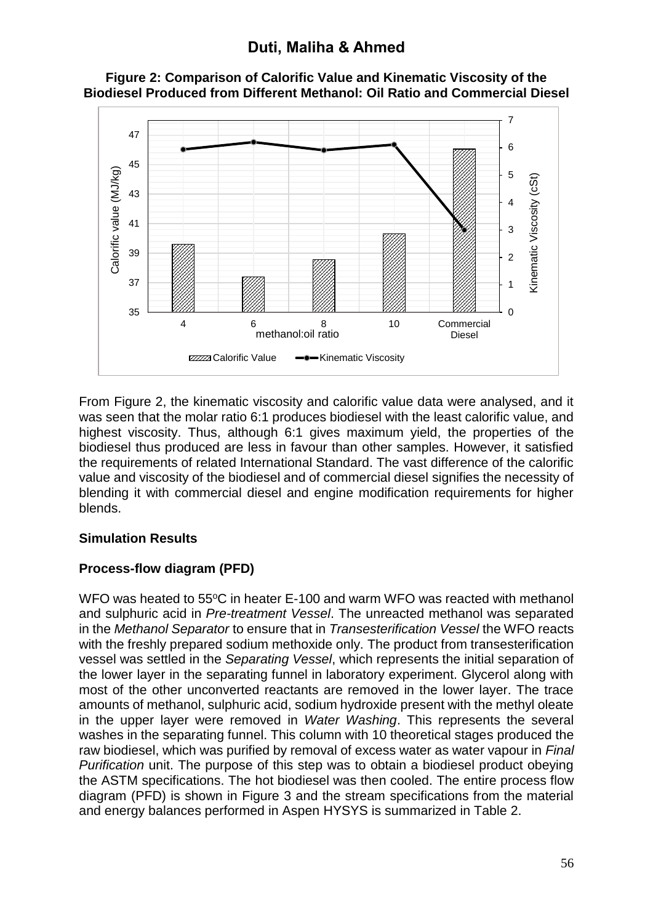

**Figure 2: Comparison of Calorific Value and Kinematic Viscosity of the Biodiesel Produced from Different Methanol: Oil Ratio and Commercial Diesel**

From Figure 2, the kinematic viscosity and calorific value data were analysed, and it was seen that the molar ratio 6:1 produces biodiesel with the least calorific value, and highest viscosity. Thus, although 6:1 gives maximum yield, the properties of the biodiesel thus produced are less in favour than other samples. However, it satisfied the requirements of related International Standard. The vast difference of the calorific value and viscosity of the biodiesel and of commercial diesel signifies the necessity of blending it with commercial diesel and engine modification requirements for higher blends.

#### **Simulation Results**

### **Process-flow diagram (PFD)**

WFO was heated to 55°C in heater E-100 and warm WFO was reacted with methanol and sulphuric acid in *Pre-treatment Vessel*. The unreacted methanol was separated in the *Methanol Separator* to ensure that in *Transesterification Vessel* the WFO reacts with the freshly prepared sodium methoxide only. The product from transesterification vessel was settled in the *Separating Vessel*, which represents the initial separation of the lower layer in the separating funnel in laboratory experiment. Glycerol along with most of the other unconverted reactants are removed in the lower layer. The trace amounts of methanol, sulphuric acid, sodium hydroxide present with the methyl oleate in the upper layer were removed in *Water Washing*. This represents the several washes in the separating funnel. This column with 10 theoretical stages produced the raw biodiesel, which was purified by removal of excess water as water vapour in *Final Purification* unit. The purpose of this step was to obtain a biodiesel product obeying the ASTM specifications. The hot biodiesel was then cooled. The entire process flow diagram (PFD) is shown in Figure 3 and the stream specifications from the material and energy balances performed in Aspen HYSYS is summarized in Table 2.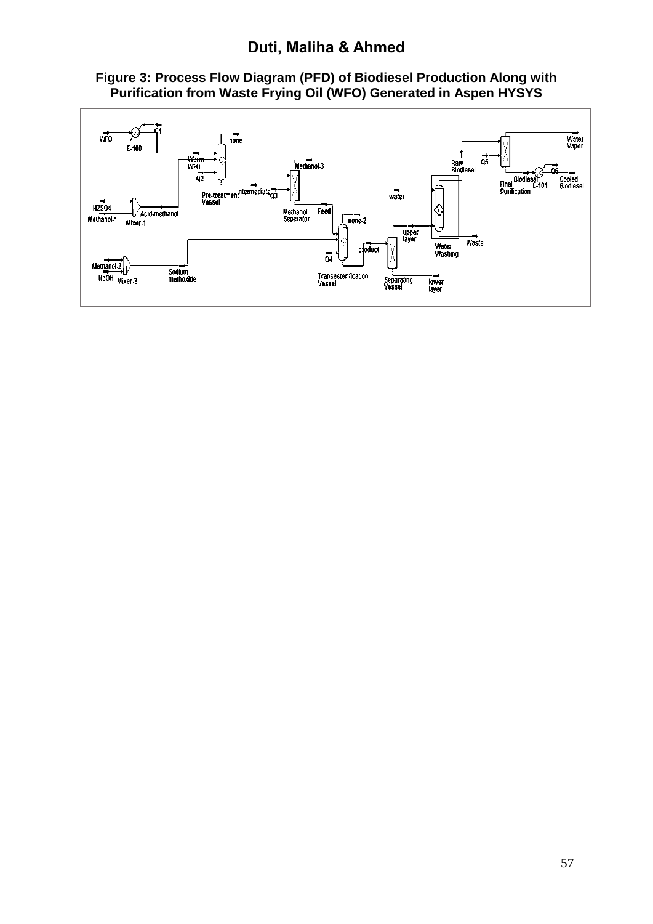

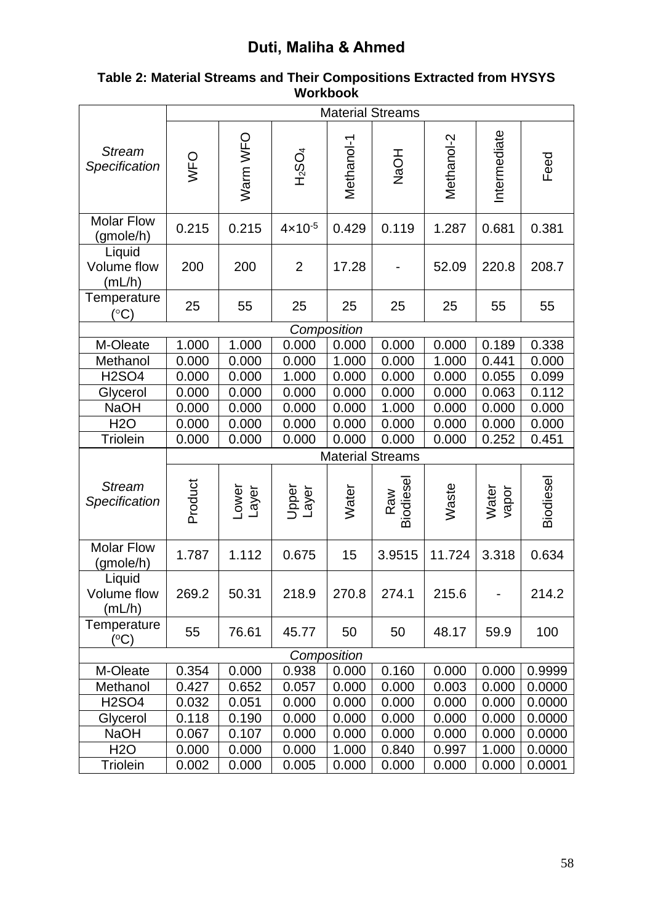|                                 | <b>Material Streams</b> |                |                       |             |                         |            |                |          |
|---------------------------------|-------------------------|----------------|-----------------------|-------------|-------------------------|------------|----------------|----------|
| <b>Stream</b><br>Specification  | WFO                     | Warn WFO       | $H_2$ SO <sub>4</sub> | Methanol-1  | <b>NaOH</b>             | Methanol-2 | Intermediate   | Feed     |
| <b>Molar Flow</b><br>(gmole/h)  | 0.215                   | 0.215          | $4 \times 10^{-5}$    | 0.429       | 0.119                   | 1.287      | 0.681          | 0.381    |
| Liquid<br>Volume flow<br>(mL/h) | 200                     | 200            | $\overline{2}$        | 17.28       |                         | 52.09      | 220.8          | 208.7    |
| Temperature<br>$(^\circ C)$     | 25                      | 55             | 25                    | 25          | 25                      | 25         | 55             | 55       |
|                                 |                         |                |                       | Composition |                         |            |                |          |
| M-Oleate                        | 1.000                   | 1.000          | 0.000                 | 0.000       | 0.000                   | 0.000      | 0.189          | 0.338    |
| Methanol                        | 0.000                   | 0.000          | 0.000                 | 1.000       | 0.000                   | 1.000      | 0.441          | 0.000    |
| <b>H2SO4</b>                    | 0.000                   | 0.000          | 1.000                 | 0.000       | 0.000                   | 0.000      | 0.055          | 0.099    |
| Glycerol                        | 0.000                   | 0.000          | 0.000                 | 0.000       | 0.000                   | 0.000      | 0.063          | 0.112    |
| <b>NaOH</b>                     | 0.000                   | 0.000          | 0.000                 | 0.000       | 1.000                   | 0.000      | 0.000          | 0.000    |
| <b>H2O</b>                      | 0.000                   | 0.000          | 0.000                 | 0.000       | 0.000                   | 0.000      | 0.000          | 0.000    |
| <b>Triolein</b>                 | 0.000                   | 0.000          | 0.000                 | 0.000       | 0.000                   | 0.000      | 0.252          | 0.451    |
|                                 |                         |                |                       |             | <b>Material Streams</b> |            |                |          |
| <b>Stream</b><br>Specification  | Product                 | Lower<br>Layer | Upper<br>Layer        | Water       | Biodiese<br>Raw         | Waste      | Water<br>vapor | Biodiese |
| <b>Molar Flow</b><br>(gmole/h)  | 1.787                   | 1.112          | 0.675                 | 15          | 3.9515                  | 11.724     | 3.318          | 0.634    |
| Liquid<br>Volume flow<br>(mL/h) | 269.2                   | 50.31          | 218.9                 | 270.8       | 274.1                   | 215.6      |                | 214.2    |
| Temperature<br>(°C)             | 55                      | 76.61          | 45.77                 | 50          | 50                      | 48.17      | 59.9           | 100      |
| Composition                     |                         |                |                       |             |                         |            |                |          |
| M-Oleate                        | 0.354                   | 0.000          | 0.938                 | 0.000       | 0.160                   | 0.000      | 0.000          | 0.9999   |
| Methanol                        | 0.427                   | 0.652          | 0.057                 | 0.000       | 0.000                   | 0.003      | 0.000          | 0.0000   |
| <b>H2SO4</b>                    | 0.032                   | 0.051          | 0.000                 | 0.000       | 0.000                   | 0.000      | 0.000          | 0.0000   |
| Glycerol                        | 0.118                   | 0.190          | 0.000                 | 0.000       | 0.000                   | 0.000      | 0.000          | 0.0000   |
| <b>NaOH</b>                     | 0.067                   | 0.107          | 0.000                 | 0.000       | 0.000                   | 0.000      | 0.000          | 0.0000   |
| <b>H2O</b>                      | 0.000                   | 0.000          | 0.000                 | 1.000       | 0.840                   | 0.997      | 1.000          | 0.0000   |
| Triolein                        | 0.002                   | 0.000          | 0.005                 | 0.000       | 0.000                   | 0.000      | 0.000          | 0.0001   |

#### **Table 2: Material Streams and Their Compositions Extracted from HYSYS Workbook**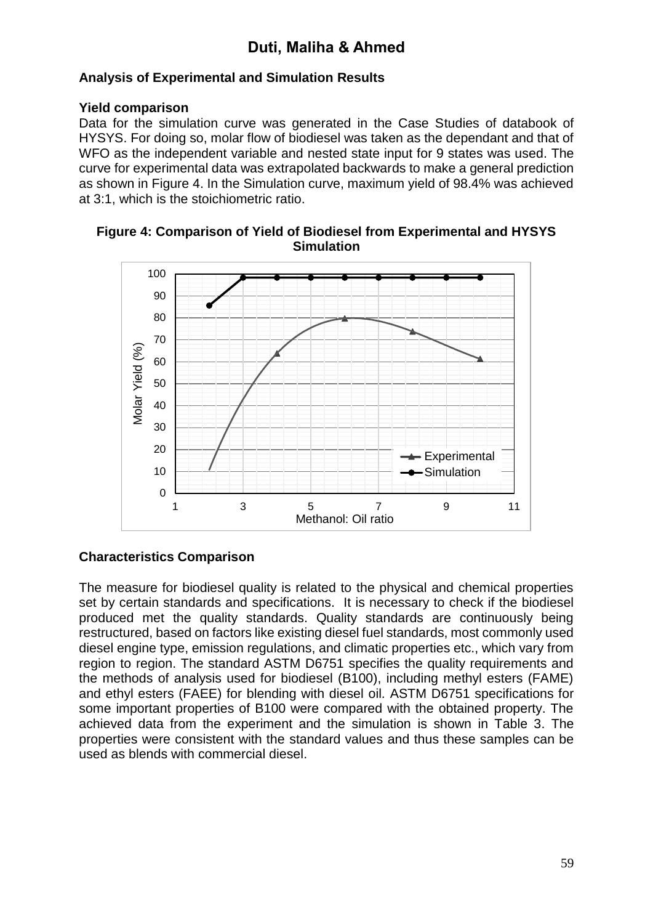#### **Analysis of Experimental and Simulation Results**

#### **Yield comparison**

Data for the simulation curve was generated in the Case Studies of databook of HYSYS. For doing so, molar flow of biodiesel was taken as the dependant and that of WFO as the independent variable and nested state input for 9 states was used. The curve for experimental data was extrapolated backwards to make a general prediction as shown in Figure 4. In the Simulation curve, maximum yield of 98.4% was achieved at 3:1, which is the stoichiometric ratio.





#### **Characteristics Comparison**

The measure for biodiesel quality is related to the physical and chemical properties set by certain standards and specifications. It is necessary to check if the biodiesel produced met the quality standards. Quality standards are continuously being restructured, based on factors like existing diesel fuel standards, most commonly used diesel engine type, emission regulations, and climatic properties etc., which vary from region to region. The standard ASTM D6751 specifies the quality requirements and the methods of analysis used for biodiesel (B100), including methyl esters (FAME) and ethyl esters (FAEE) for blending with diesel oil. ASTM D6751 specifications for some important properties of B100 were compared with the obtained property. The achieved data from the experiment and the simulation is shown in Table 3. The properties were consistent with the standard values and thus these samples can be used as blends with commercial diesel.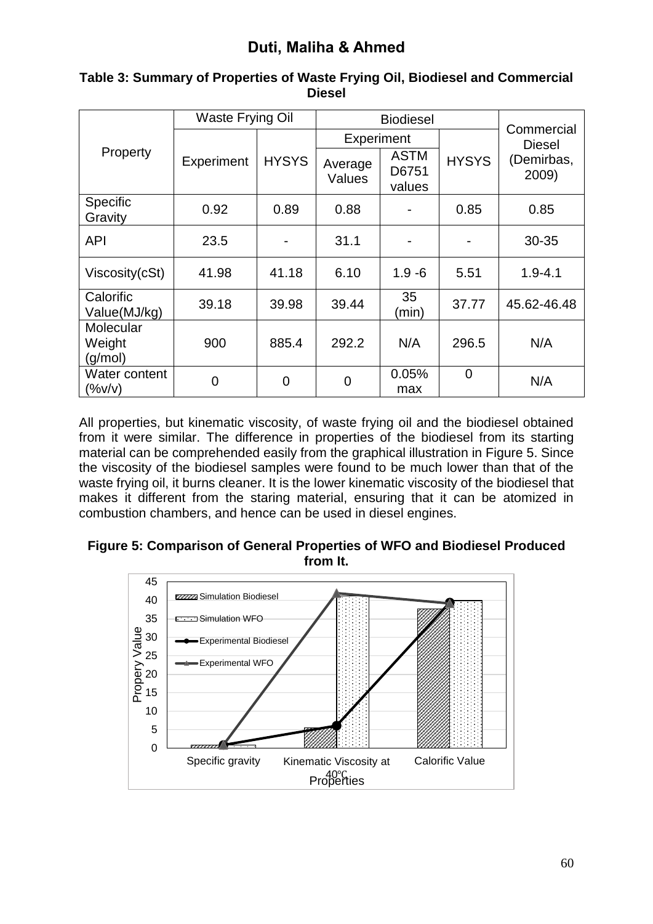| Property                       | <b>Waste Frying Oil</b> |                | <b>Biodiesel</b>  |                                |                |                             |  |
|--------------------------------|-------------------------|----------------|-------------------|--------------------------------|----------------|-----------------------------|--|
|                                |                         |                | Experiment        |                                |                | Commercial<br><b>Diesel</b> |  |
|                                | Experiment              | <b>HYSYS</b>   | Average<br>Values | <b>ASTM</b><br>D6751<br>values | <b>HYSYS</b>   | (Demirbas,<br>2009)         |  |
| Specific<br>Gravity            | 0.92                    | 0.89           | 0.88              |                                | 0.85           | 0.85                        |  |
| <b>API</b>                     | 23.5                    |                | 31.1              |                                |                | 30-35                       |  |
| Viscosity(cSt)                 | 41.98                   | 41.18          | 6.10              | $1.9 - 6$                      | 5.51           | $1.9 - 4.1$                 |  |
| Calorific<br>Value(MJ/kg)      | 39.18                   | 39.98          | 39.44             | 35<br>(min)                    | 37.77          | 45.62-46.48                 |  |
| Molecular<br>Weight<br>(g/mol) | 900                     | 885.4          | 292.2             | N/A                            | 296.5          | N/A                         |  |
| Water content<br>$(\%v/v)$     | $\overline{0}$          | $\overline{0}$ | $\overline{0}$    | 0.05%<br>max                   | $\overline{0}$ | N/A                         |  |

#### **Table 3: Summary of Properties of Waste Frying Oil, Biodiesel and Commercial Diesel**

All properties, but kinematic viscosity, of waste frying oil and the biodiesel obtained from it were similar. The difference in properties of the biodiesel from its starting material can be comprehended easily from the graphical illustration in Figure 5. Since the viscosity of the biodiesel samples were found to be much lower than that of the waste frying oil, it burns cleaner. It is the lower kinematic viscosity of the biodiesel that makes it different from the staring material, ensuring that it can be atomized in combustion chambers, and hence can be used in diesel engines.

#### **Figure 5: Comparison of General Properties of WFO and Biodiesel Produced from It.**

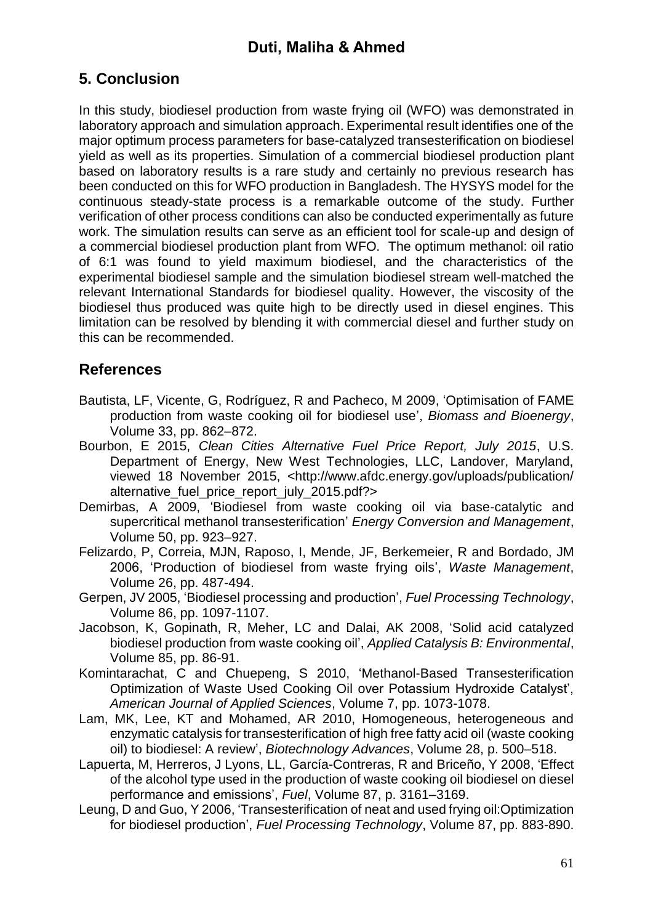## **5. Conclusion**

In this study, biodiesel production from waste frying oil (WFO) was demonstrated in laboratory approach and simulation approach. Experimental result identifies one of the major optimum process parameters for base-catalyzed transesterification on biodiesel yield as well as its properties. Simulation of a commercial biodiesel production plant based on laboratory results is a rare study and certainly no previous research has been conducted on this for WFO production in Bangladesh. The HYSYS model for the continuous steady-state process is a remarkable outcome of the study. Further verification of other process conditions can also be conducted experimentally as future work. The simulation results can serve as an efficient tool for scale-up and design of a commercial biodiesel production plant from WFO. The optimum methanol: oil ratio of 6:1 was found to yield maximum biodiesel, and the characteristics of the experimental biodiesel sample and the simulation biodiesel stream well-matched the relevant International Standards for biodiesel quality. However, the viscosity of the biodiesel thus produced was quite high to be directly used in diesel engines. This limitation can be resolved by blending it with commercial diesel and further study on this can be recommended.

### **References**

- Bautista, LF, Vicente, G, Rodríguez, R and Pacheco, M 2009, 'Optimisation of FAME production from waste cooking oil for biodiesel use', *Biomass and Bioenergy*, Volume 33, pp. 862–872.
- Bourbon, E 2015, *Clean Cities Alternative Fuel Price Report, July 2015*, U.S. Department of Energy, New West Technologies, LLC, Landover, Maryland, viewed 18 November 2015, <http://www.afdc.energy.gov/uploads/publication/ alternative fuel price report july 2015.pdf?>
- Demirbas, A 2009, 'Biodiesel from waste cooking oil via base-catalytic and supercritical methanol transesterification' *Energy Conversion and Management*, Volume 50, pp. 923–927.
- Felizardo, P, Correia, MJN, Raposo, I, Mende, JF, Berkemeier, R and Bordado, JM 2006, 'Production of biodiesel from waste frying oils', *Waste Management*, Volume 26, pp. 487-494.
- Gerpen, JV 2005, 'Biodiesel processing and production', *Fuel Processing Technology*, Volume 86, pp. 1097-1107.
- Jacobson, K, Gopinath, R, Meher, LC and Dalai, AK 2008, 'Solid acid catalyzed biodiesel production from waste cooking oil', *Applied Catalysis B: Environmental*, Volume 85, pp. 86-91.
- Komintarachat, C and Chuepeng, S 2010, 'Methanol-Based Transesterification Optimization of Waste Used Cooking Oil over Potassium Hydroxide Catalyst', *American Journal of Applied Sciences*, Volume 7, pp. 1073-1078.
- Lam, MK, Lee, KT and Mohamed, AR 2010, Homogeneous, heterogeneous and enzymatic catalysis for transesterification of high free fatty acid oil (waste cooking oil) to biodiesel: A review', *Biotechnology Advances*, Volume 28, p. 500–518.
- Lapuerta, M, Herreros, J Lyons, LL, García-Contreras, R and Briceño, Y 2008, 'Effect of the alcohol type used in the production of waste cooking oil biodiesel on diesel performance and emissions', *Fuel*, Volume 87, p. 3161–3169.
- Leung, D and Guo, Y 2006, 'Transesterification of neat and used frying oil:Optimization for biodiesel production', *Fuel Processing Technology*, Volume 87, pp. 883-890.